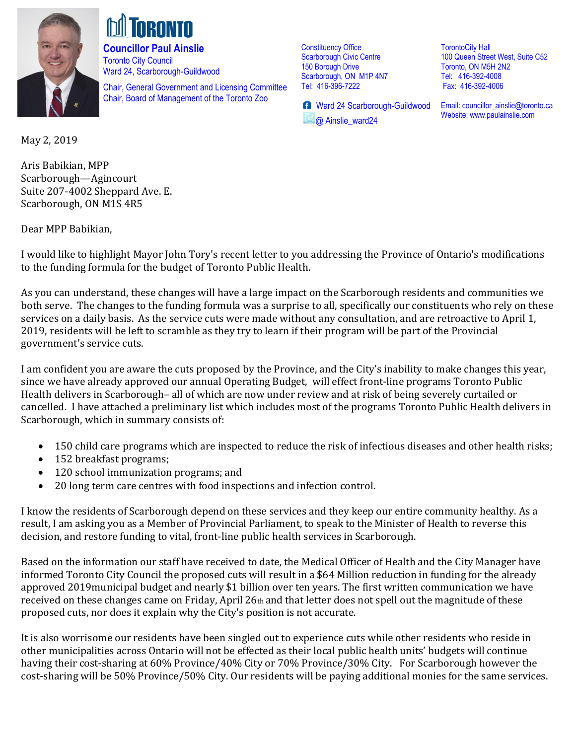

**Councillor Paul Ainslie**  Toronto City Council Ward 24, Scarborough-Guildwood

Chair, General Government and Licensing Committee Chair, Board of Management of the Toronto Zoo

Constituency Office Scarborough Civic Centre 150 Borough Drive Scarborough, ON M1P 4N7 Tel: 416-396-7222

**B** Ward 24 Scarborough-Guildwood @ Ainslie\_ward24

TorontoCity Hall 100 Queen Street West, Suite C52 Toronto, ON M5H 2N2 Tel: 416-392-4008 Fax: 416-392-4006

Email[: councillor\\_ainslie@toronto.ca](mailto:councillor_ainslie@toronto.ca) Website[: www.paulainslie.com](http://www.paulainslie.com/)

May 2, 2019

Aris Babikian, MPP Scarborough—Agincourt Suite 207-4002 Sheppard Ave. E. Scarborough, ON M1S 4R5

Dear MPP Babikian,

I would like to highlight Mayor John Tory's recent letter to you addressing the Province of Ontario's modifications to the funding formula for the budget of Toronto Public Health.

As you can understand, these changes will have a large impact on the Scarborough residents and communities we both serve. The changes to the funding formula was a surprise to all, specifically our constituents who rely on these services on a daily basis. As the service cuts were made without any consultation, and are retroactive to April 1, 2019, residents will be left to scramble as they try to learn if their program will be part of the Provincial government's service cuts.

I am confident you are aware the cuts proposed by the Province, and the City's inability to make changes this year, since we have already approved our annual Operating Budget, will effect front-line programs Toronto Public Health delivers in Scarborough– all of which are now under review and at risk of being severely curtailed or cancelled. I have attached a preliminary list which includes most of the programs Toronto Public Health delivers in Scarborough, which in summary consists of:

- 150 child care programs which are inspected to reduce the risk of infectious diseases and other health risks;
- 152 breakfast programs;
- 120 school immunization programs; and
- 20 long term care centres with food inspections and infection control.

I know the residents of Scarborough depend on these services and they keep our entire community healthy. As a result, I am asking you as a Member of Provincial Parliament, to speak to the Minister of Health to reverse this decision, and restore funding to vital, front-line public health services in Scarborough.

Based on the information our staff have received to date, the Medical Officer of Health and the City Manager have informed Toronto City Council the proposed cuts will result in a \$64 Million reduction in funding for the already approved 2019municipal budget and nearly \$1 billion over ten years. The first written communication we have received on these changes came on Friday, April 26th and that letter does not spell out the magnitude of these proposed cuts, nor does it explain why the City's position is not accurate.

It is also worrisome our residents have been singled out to experience cuts while other residents who reside in other municipalities across Ontario will not be effected as their local public health units' budgets will continue having their cost-sharing at 60% Province/40% City or 70% Province/30% City. For Scarborough however the cost-sharing will be 50% Province/50% City. Our residents will be paying additional monies for the same services.